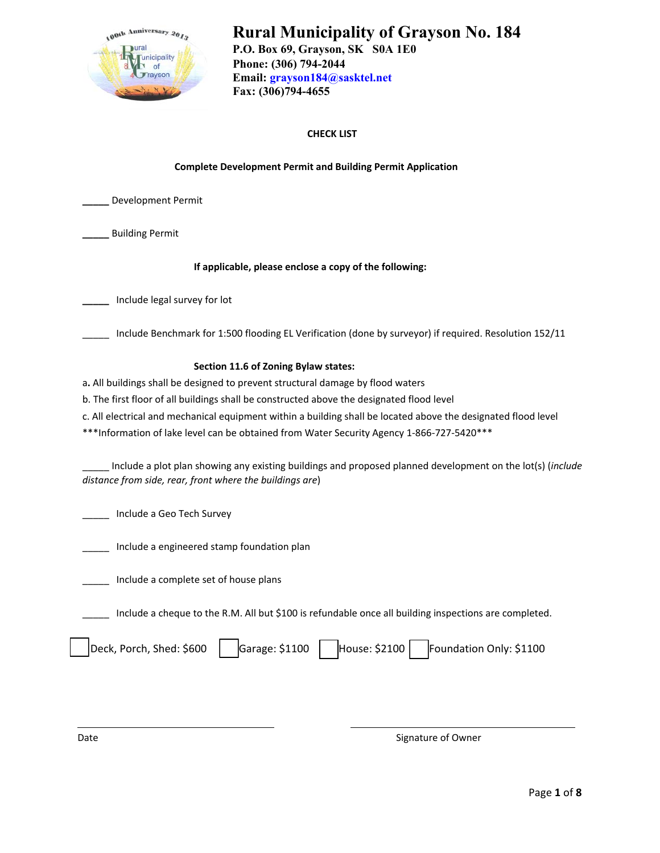

# **Rural Municipality of Grayson No. 184**

**P.O. Box 69, Grayson, SK S0A 1E0 Phone: (306) 794-2044 Email: grayson184@sasktel.net Fax: (306)794-4655** 

## **CHECK LIST**

#### **Complete Development Permit and Building Permit Application**

**\_\_\_\_\_** Development Permit

**\_\_\_\_\_** Building Permit

#### **If applicable, please enclose a copy of the following:**

**\_\_\_\_\_** Include legal survey for lot

\_\_\_\_\_ Include Benchmark for 1:500 flooding EL Verification (done by surveyor) if required. Resolution 152/11

#### **Section 11.6 of Zoning Bylaw states:**

a**.** All buildings shall be designed to prevent structural damage by flood waters

b. The first floor of all buildings shall be constructed above the designated flood level

c. All electrical and mechanical equipment within a building shall be located above the designated flood level

\*\*\*Information of lake level can be obtained from Water Security Agency 1‐866‐727‐5420\*\*\*

\_\_\_\_\_ Include a plot plan showing any existing buildings and proposed planned development on the lot(s) (*include distance from side, rear, front where the buildings are*)

\_\_\_\_\_ Include a Geo Tech Survey

Include a engineered stamp foundation plan

\_\_\_\_\_ Include a complete set of house plans

Include a cheque to the R.M. All but \$100 is refundable once all building inspections are completed.

|  | Deck, Porch, Shed: \$600 |  |  | Garage: \$1100   House: \$2100   Foundation Only: \$1100 |
|--|--------------------------|--|--|----------------------------------------------------------|
|--|--------------------------|--|--|----------------------------------------------------------|

Date **Date of Owner**  $\sim$  2012 **Signature of Owner**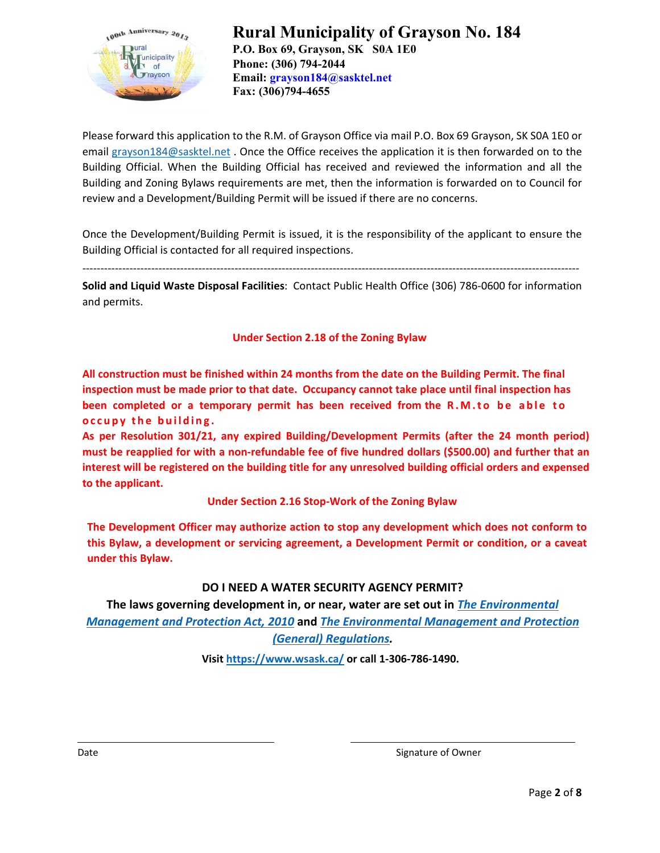

Please forward this application to the R.M. of Grayson Office via mail P.O. Box 69 Grayson, SK S0A 1E0 or email grayson184@sasktel.net . Once the Office receives the application it is then forwarded on to the Building Official. When the Building Official has received and reviewed the information and all the Building and Zoning Bylaws requirements are met, then the information is forwarded on to Council for review and a Development/Building Permit will be issued if there are no concerns.

Once the Development/Building Permit is issued, it is the responsibility of the applicant to ensure the Building Official is contacted for all required inspections.

‐‐‐‐‐‐‐‐‐‐‐‐‐‐‐‐‐‐‐‐‐‐‐‐‐‐‐‐‐‐‐‐‐‐‐‐‐‐‐‐‐‐‐‐‐‐‐‐‐‐‐‐‐‐‐‐‐‐‐‐‐‐‐‐‐‐‐‐‐‐‐‐‐‐‐‐‐‐‐‐‐‐‐‐‐‐‐‐‐‐‐‐‐‐‐‐‐‐‐‐‐‐‐‐‐‐‐‐‐‐‐‐‐‐‐‐‐‐‐‐‐‐‐‐‐‐‐‐‐‐‐‐‐‐‐‐‐

**Solid and Liquid Waste Disposal Facilities**: Contact Public Health Office (306) 786‐0600 for information and permits.

**Under Section 2.18 of the Zoning Bylaw** 

**All construction must be finished within 24 months from the date on the Building Permit. The final inspection must be made prior to that date. Occupancy cannot take place until final inspection has been completed or a temporary permit has been received from the R.M.t o b e able to occupy the building.**

**As per Resolution 301/21, any expired Building/Development Permits (after the 24 month period) must be reapplied for with a non-refundable fee of five hundred dollars (\$500.00) and further that an interest will be registered on the building title for any unresolved building official orders and expensed to the applicant.** 

**Under Section 2.16 Stop‐Work of the Zoning Bylaw** 

**The Development Officer may authorize action to stop any development which does not conform to this Bylaw, a development or servicing agreement, a Development Permit or condition, or a caveat under this Bylaw.** 

# **DO I NEED A WATER SECURITY AGENCY PERMIT?**

**The laws governing development in, or near, water are set out in** *The Environmental Management and Protection Act, 2010* **and** *The Environmental Management and Protection (General) Regulations.*

**Visit https://www.wsask.ca/ or call 1‐306‐786‐1490.** 

Date **Date 2008** Contract Contract Contract Contract Contract Contract Contract Contract Contract Contract Contract Contract Contract Contract Contract Contract Contract Contract Contract Contract Contract Contract Contrac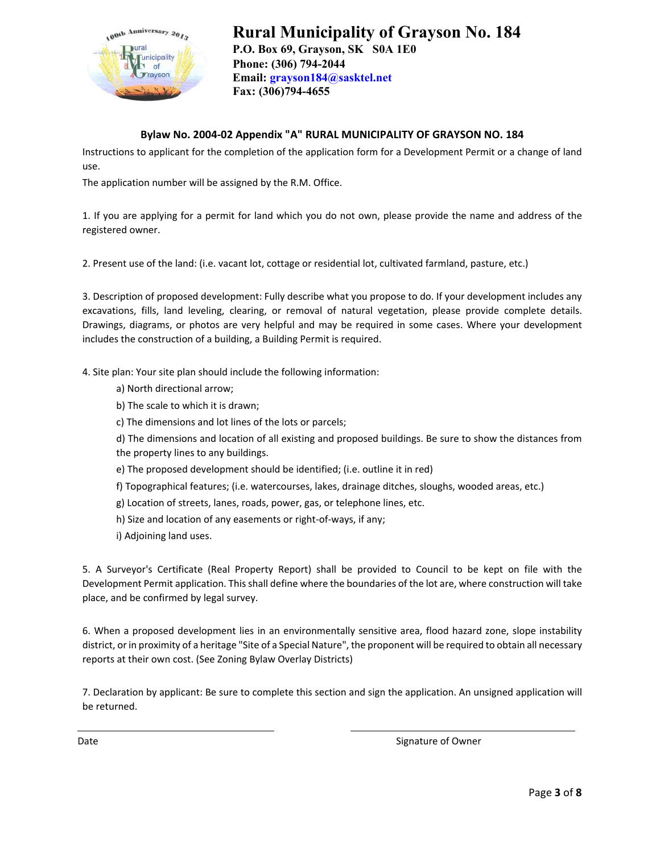

## **Bylaw No. 2004‐02 Appendix "A" RURAL MUNICIPALITY OF GRAYSON NO. 184**

Instructions to applicant for the completion of the application form for a Development Permit or a change of land use.

The application number will be assigned by the R.M. Office.

1. If you are applying for a permit for land which you do not own, please provide the name and address of the registered owner.

2. Present use of the land: (i.e. vacant lot, cottage or residential lot, cultivated farmland, pasture, etc.)

3. Description of proposed development: Fully describe what you propose to do. If your development includes any excavations, fills, land leveling, clearing, or removal of natural vegetation, please provide complete details. Drawings, diagrams, or photos are very helpful and may be required in some cases. Where your development includes the construction of a building, a Building Permit is required.

4. Site plan: Your site plan should include the following information:

- a) North directional arrow;
- b) The scale to which it is drawn;
- c) The dimensions and lot lines of the lots or parcels;

d) The dimensions and location of all existing and proposed buildings. Be sure to show the distances from the property lines to any buildings.

- e) The proposed development should be identified; (i.e. outline it in red)
- f) Topographical features; (i.e. watercourses, lakes, drainage ditches, sloughs, wooded areas, etc.)
- g) Location of streets, lanes, roads, power, gas, or telephone lines, etc.
- h) Size and location of any easements or right-of-ways, if any;
- i) Adjoining land uses.

5. A Surveyor's Certificate (Real Property Report) shall be provided to Council to be kept on file with the Development Permit application. This shall define where the boundaries of the lot are, where construction will take place, and be confirmed by legal survey.

6. When a proposed development lies in an environmentally sensitive area, flood hazard zone, slope instability district, or in proximity of a heritage "Site of a Special Nature", the proponent will be required to obtain all necessary reports at their own cost. (See Zoning Bylaw Overlay Districts)

7. Declaration by applicant: Be sure to complete this section and sign the application. An unsigned application will be returned.

Date **Date 2008** Contract Contract Contract Contract Contract Contract Contract Contract Contract Contract Contract Contract Contract Contract Contract Contract Contract Contract Contract Contract Contract Contract Contrac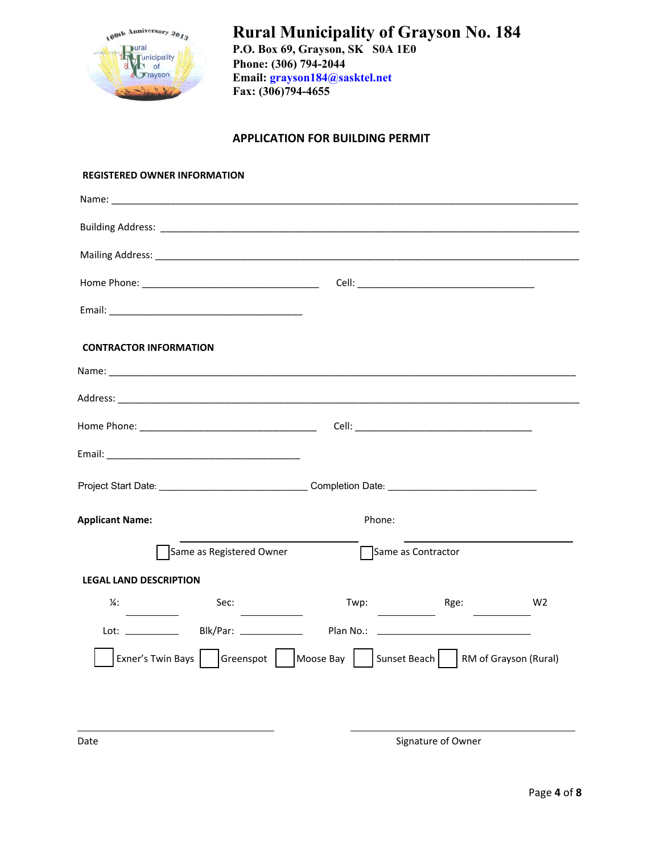

# **APPLICATION FOR BUILDING PERMIT**

| <b>REGISTERED OWNER INFORMATION</b>                                              |                                             |                                                                                                     |                                                                                                                                                                                                                                                                                                                                                                                                                                                                                         |                |
|----------------------------------------------------------------------------------|---------------------------------------------|-----------------------------------------------------------------------------------------------------|-----------------------------------------------------------------------------------------------------------------------------------------------------------------------------------------------------------------------------------------------------------------------------------------------------------------------------------------------------------------------------------------------------------------------------------------------------------------------------------------|----------------|
|                                                                                  |                                             |                                                                                                     |                                                                                                                                                                                                                                                                                                                                                                                                                                                                                         |                |
|                                                                                  |                                             |                                                                                                     |                                                                                                                                                                                                                                                                                                                                                                                                                                                                                         |                |
|                                                                                  |                                             |                                                                                                     |                                                                                                                                                                                                                                                                                                                                                                                                                                                                                         |                |
|                                                                                  |                                             |                                                                                                     |                                                                                                                                                                                                                                                                                                                                                                                                                                                                                         |                |
|                                                                                  |                                             |                                                                                                     |                                                                                                                                                                                                                                                                                                                                                                                                                                                                                         |                |
| <b>CONTRACTOR INFORMATION</b>                                                    |                                             |                                                                                                     |                                                                                                                                                                                                                                                                                                                                                                                                                                                                                         |                |
|                                                                                  |                                             |                                                                                                     |                                                                                                                                                                                                                                                                                                                                                                                                                                                                                         |                |
|                                                                                  |                                             |                                                                                                     |                                                                                                                                                                                                                                                                                                                                                                                                                                                                                         |                |
|                                                                                  |                                             |                                                                                                     |                                                                                                                                                                                                                                                                                                                                                                                                                                                                                         |                |
|                                                                                  |                                             |                                                                                                     |                                                                                                                                                                                                                                                                                                                                                                                                                                                                                         |                |
|                                                                                  |                                             | Project Start Date: ________________________________Completion Date: ______________________________ |                                                                                                                                                                                                                                                                                                                                                                                                                                                                                         |                |
| <b>Applicant Name:</b>                                                           |                                             | Phone:                                                                                              |                                                                                                                                                                                                                                                                                                                                                                                                                                                                                         |                |
|                                                                                  | Same as Registered Owner                    | Same as Contractor                                                                                  |                                                                                                                                                                                                                                                                                                                                                                                                                                                                                         |                |
| <b>LEGAL LAND DESCRIPTION</b>                                                    |                                             |                                                                                                     |                                                                                                                                                                                                                                                                                                                                                                                                                                                                                         |                |
| $\frac{1}{4}$                                                                    | Sec:<br>the contract of the contract of the |                                                                                                     | Twp: Rge:<br>$\frac{1}{2} \left( \frac{1}{2} \right) \left( \frac{1}{2} \right) \left( \frac{1}{2} \right) \left( \frac{1}{2} \right) \left( \frac{1}{2} \right) \left( \frac{1}{2} \right) \left( \frac{1}{2} \right) \left( \frac{1}{2} \right) \left( \frac{1}{2} \right) \left( \frac{1}{2} \right) \left( \frac{1}{2} \right) \left( \frac{1}{2} \right) \left( \frac{1}{2} \right) \left( \frac{1}{2} \right) \left( \frac{1}{2} \right) \left( \frac{1}{2} \right) \left( \frac$ | W <sub>2</sub> |
|                                                                                  |                                             |                                                                                                     |                                                                                                                                                                                                                                                                                                                                                                                                                                                                                         |                |
| Exner's Twin Bays   Greenspot   Moose Bay   Sunset Beach   RM of Grayson (Rural) |                                             |                                                                                                     |                                                                                                                                                                                                                                                                                                                                                                                                                                                                                         |                |
|                                                                                  |                                             |                                                                                                     |                                                                                                                                                                                                                                                                                                                                                                                                                                                                                         |                |
|                                                                                  |                                             |                                                                                                     |                                                                                                                                                                                                                                                                                                                                                                                                                                                                                         |                |

Date **Date of Owner Signature of Owner** Signature of Owner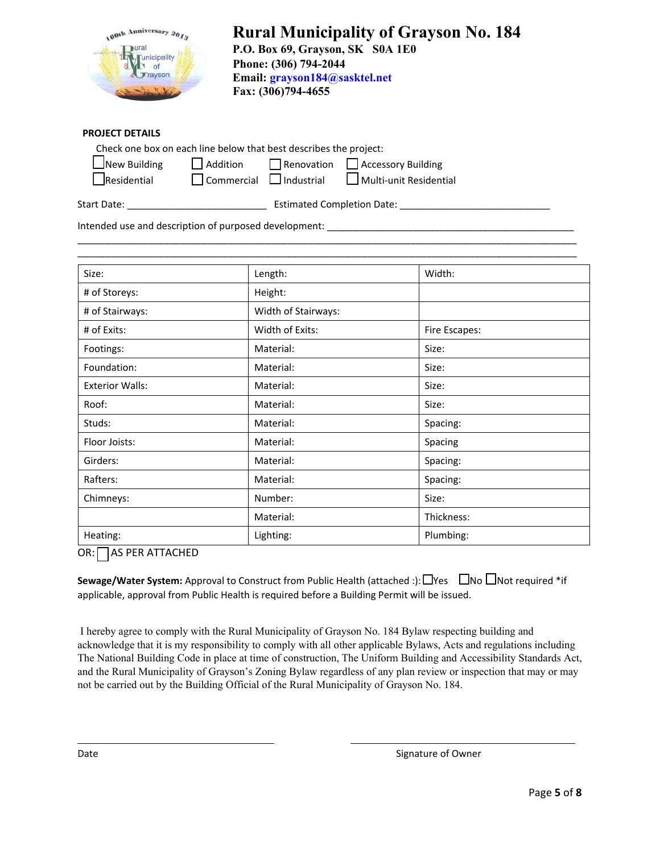| 100th Anniversary 2013                       |
|----------------------------------------------|
| ural<br><b>Tunicipality</b><br>of<br>Trayson |
|                                              |

#### **PROJECT DETAILS**

| Check one box on each line below that best describes the project: |                                     |  |                                                             |  |  |
|-------------------------------------------------------------------|-------------------------------------|--|-------------------------------------------------------------|--|--|
| New Building                                                      |                                     |  | $\Box$ Addition $\Box$ Renovation $\Box$ Accessory Building |  |  |
| $\Box$ Residential                                                | $\Box$ Commercial $\Box$ Industrial |  | Multi-unit Residential                                      |  |  |

Start Date: \_\_\_\_\_\_\_\_\_\_\_\_\_\_\_\_\_\_\_\_\_\_\_\_\_\_ Estimated Completion Date: \_\_\_\_\_\_\_\_\_\_\_\_\_\_\_\_\_\_\_\_\_\_\_\_\_\_\_\_

\_\_\_\_\_\_\_\_\_\_\_\_\_\_\_\_\_\_\_\_\_\_\_\_\_\_\_\_\_\_\_\_\_\_\_\_\_\_\_\_\_\_\_\_\_\_\_\_\_\_\_\_\_\_\_\_\_\_\_\_\_\_\_\_\_\_\_\_\_\_\_\_\_\_\_\_\_\_\_\_\_\_\_\_\_\_\_\_\_\_\_\_\_

Intended use and description of purposed development: \_\_\_\_\_\_\_\_\_\_\_\_\_\_\_\_\_\_\_\_\_\_\_\_\_\_

| Size:                  | Length:             | Width:        |
|------------------------|---------------------|---------------|
| # of Storeys:          | Height:             |               |
| # of Stairways:        | Width of Stairways: |               |
| # of Exits:            | Width of Exits:     | Fire Escapes: |
| Footings:              | Material:           | Size:         |
| Foundation:            | Material:           | Size:         |
| <b>Exterior Walls:</b> | Material:           | Size:         |
| Roof:                  | Material:           | Size:         |
| Studs:                 | Material:           | Spacing:      |
| Floor Joists:          | Material:           | Spacing       |
| Girders:               | Material:           | Spacing:      |
| Rafters:               | Material:           | Spacing:      |
| Chimneys:              | Number:             | Size:         |
|                        | Material:           | Thickness:    |
| Heating:               | Lighting:           | Plumbing:     |

OR: AS PER ATTACHED

**Sewage/Water System:** Approval to Construct from Public Health (attached :):  $\Box$ Yes  $\Box$ No  $\Box$ Not required \*if applicable, approval from Public Health is required before a Building Permit will be issued.

I hereby agree to comply with the Rural Municipality of Grayson No. 184 Bylaw respecting building and acknowledge that it is my responsibility to comply with all other applicable Bylaws, Acts and regulations including The National Building Code in place at time of construction, The Uniform Building and Accessibility Standards Act, and the Rural Municipality of Grayson's Zoning Bylaw regardless of any plan review or inspection that may or may not be carried out by the Building Official of the Rural Municipality of Grayson No. 184.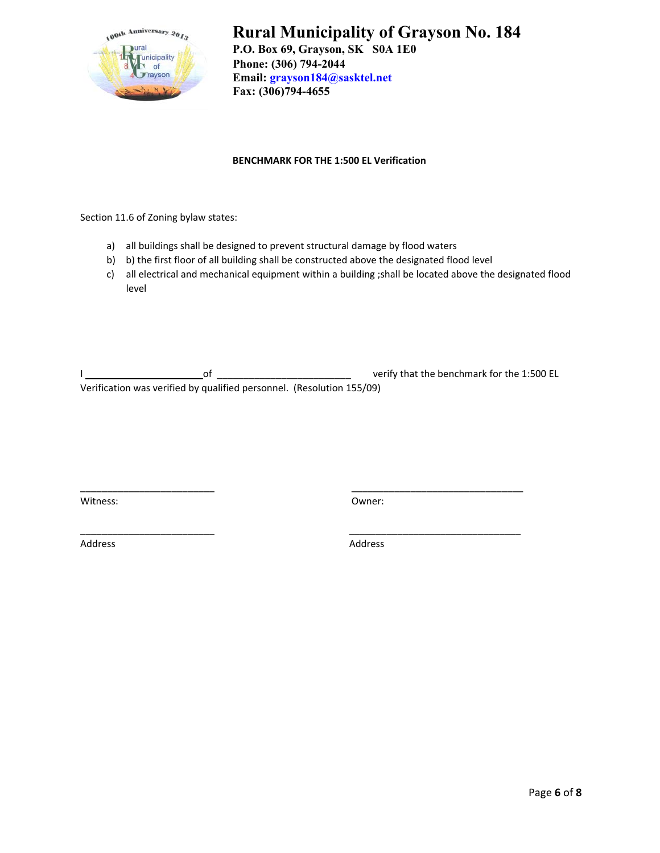

# **Rural Municipality of Grayson No. 184 P.O. Box 69, Grayson, SK S0A 1E0**

 **Phone: (306) 794-2044 Email: grayson184@sasktel.net Fax: (306)794-4655** 

#### **BENCHMARK FOR THE 1:500 EL Verification**

Section 11.6 of Zoning bylaw states:

- a) all buildings shall be designed to prevent structural damage by flood waters
- b) b) the first floor of all building shall be constructed above the designated flood level
- c) all electrical and mechanical equipment within a building ;shall be located above the designated flood level

I \_\_\_\_\_\_\_\_\_\_\_\_\_\_\_\_ \_\_\_\_\_ of \_\_\_\_\_\_\_\_\_\_\_\_\_\_\_\_\_\_\_\_\_\_\_\_\_ verify that the benchmark for the 1:500 EL Verification was verified by qualified personnel. (Resolution 155/09)

\_\_\_\_\_\_\_\_\_\_\_\_\_\_\_\_\_\_\_\_\_\_\_\_\_ \_\_\_\_\_\_\_\_\_\_\_\_\_\_\_\_\_\_\_\_\_\_\_\_\_\_\_\_\_\_\_\_

\_\_\_\_\_\_\_\_\_\_\_\_\_\_\_\_\_\_\_\_\_\_\_\_\_ \_\_\_\_\_\_\_\_\_\_\_\_\_\_\_\_\_\_\_\_\_\_\_\_\_\_\_\_\_\_\_\_

Witness: **Communist Communist Communist Communist Communist Communist Communist Communist Communist Communist Communist Communist Communist Communist Communist Communist Communist Communist Communist Communist Communist Co** 

Address Address Address Address Address Address Address Address Address Address Address Address Address Address A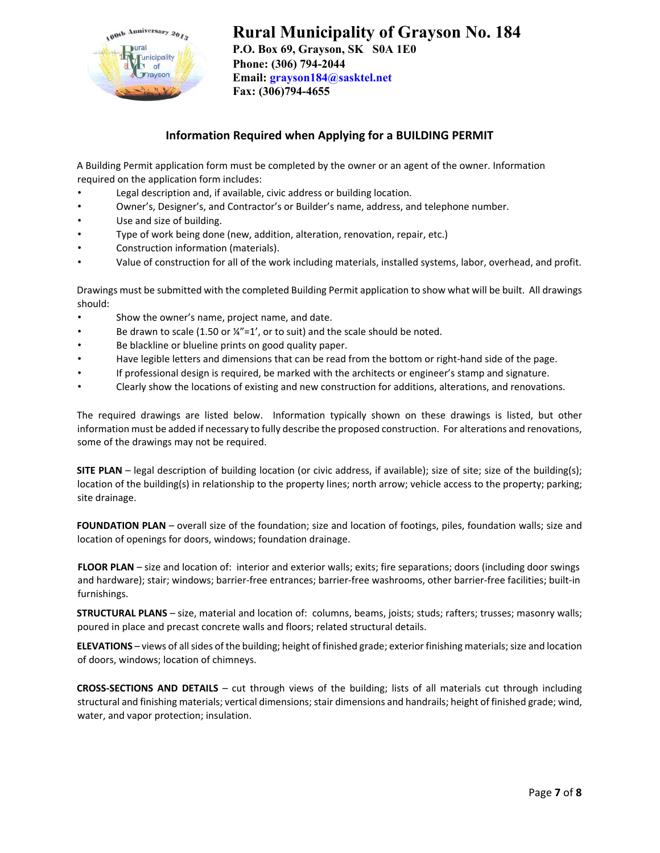

# **Rural Municipality of Grayson No. 184**

**P.O. Box 69, Grayson, SK S0A 1E0 Phone: (306) 794-2044 Email: grayson184@sasktel.net Fax: (306)794-4655** 

# **Information Required when Applying for a BUILDING PERMIT**

A Building Permit application form must be completed by the owner or an agent of the owner. Information required on the application form includes:

- Legal description and, if available, civic address or building location.
- Owner's, Designer's, and Contractor's or Builder's name, address, and telephone number.
- Use and size of building.
- Type of work being done (new, addition, alteration, renovation, repair, etc.)
- Construction information (materials).
- Value of construction for all of the work including materials, installed systems, labor, overhead, and profit.

Drawings must be submitted with the completed Building Permit application to show what will be built. All drawings should:

- Show the owner's name, project name, and date.
- Be drawn to scale (1.50 or ¼"=1', or to suit) and the scale should be noted.
- Be blackline or blueline prints on good quality paper.
- Have legible letters and dimensions that can be read from the bottom or right‐hand side of the page.
- If professional design is required, be marked with the architects or engineer's stamp and signature.
- Clearly show the locations of existing and new construction for additions, alterations, and renovations.

The required drawings are listed below. Information typically shown on these drawings is listed, but other information must be added if necessary to fully describe the proposed construction. For alterations and renovations, some of the drawings may not be required.

**SITE PLAN** – legal description of building location (or civic address, if available); size of site; size of the building(s); location of the building(s) in relationship to the property lines; north arrow; vehicle access to the property; parking; site drainage.

**FOUNDATION PLAN** – overall size of the foundation; size and location of footings, piles, foundation walls; size and location of openings for doors, windows; foundation drainage.

**FLOOR PLAN** – size and location of: interior and exterior walls; exits; fire separations; doors (including door swings and hardware); stair; windows; barrier-free entrances; barrier-free washrooms, other barrier-free facilities; built-in furnishings.

**STRUCTURAL PLANS** – size, material and location of: columns, beams, joists; studs; rafters; trusses; masonry walls; poured in place and precast concrete walls and floors; related structural details.

**ELEVATIONS** – views of all sides of the building; height of finished grade; exterior finishing materials; size and location of doors, windows; location of chimneys.

**CROSS‐SECTIONS AND DETAILS** – cut through views of the building; lists of all materials cut through including structural and finishing materials; vertical dimensions; stair dimensions and handrails; height of finished grade; wind, water, and vapor protection; insulation.